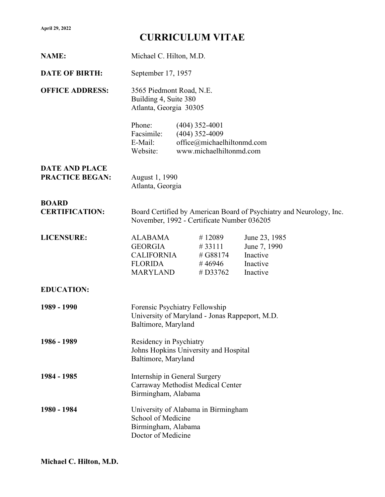## CURRICULUM VITAE

| <b>NAME:</b>                                    | Michael C. Hilton, M.D.                                                                                           |  |                                                                                               |                                                                   |
|-------------------------------------------------|-------------------------------------------------------------------------------------------------------------------|--|-----------------------------------------------------------------------------------------------|-------------------------------------------------------------------|
| <b>DATE OF BIRTH:</b>                           | September 17, 1957                                                                                                |  |                                                                                               |                                                                   |
| <b>OFFICE ADDRESS:</b>                          | 3565 Piedmont Road, N.E.<br>Building 4, Suite 380<br>Atlanta, Georgia 30305                                       |  |                                                                                               |                                                                   |
|                                                 | Phone:<br>Facsimile:<br>E-Mail:<br>Website:                                                                       |  | $(404)$ 352-4001<br>$(404)$ 352-4009<br>office@michaelhiltonmd.com<br>www.michaelhiltonmd.com |                                                                   |
| <b>DATE AND PLACE</b><br><b>PRACTICE BEGAN:</b> | August 1, 1990<br>Atlanta, Georgia                                                                                |  |                                                                                               |                                                                   |
| <b>BOARD</b><br><b>CERTIFICATION:</b>           | Board Certified by American Board of Psychiatry and Neurology, Inc.<br>November, 1992 - Certificate Number 036205 |  |                                                                                               |                                                                   |
| <b>LICENSURE:</b>                               | <b>ALABAMA</b><br><b>GEORGIA</b><br><b>CALIFORNIA</b><br><b>FLORIDA</b><br><b>MARYLAND</b>                        |  | #12089<br>#33111<br># G88174<br>#46946<br># $D33762$                                          | June 23, 1985<br>June 7, 1990<br>Inactive<br>Inactive<br>Inactive |
| <b>EDUCATION:</b>                               |                                                                                                                   |  |                                                                                               |                                                                   |
| 1989 - 1990                                     | Forensic Psychiatry Fellowship<br>University of Maryland - Jonas Rappeport, M.D.<br>Baltimore, Maryland           |  |                                                                                               |                                                                   |
| 1986 - 1989                                     | Residency in Psychiatry<br>Johns Hopkins University and Hospital<br>Baltimore, Maryland                           |  |                                                                                               |                                                                   |
| 1984 - 1985                                     | Internship in General Surgery<br>Carraway Methodist Medical Center<br>Birmingham, Alabama                         |  |                                                                                               |                                                                   |
| 1980 - 1984                                     | University of Alabama in Birmingham<br>School of Medicine<br>Birmingham, Alabama<br>Doctor of Medicine            |  |                                                                                               |                                                                   |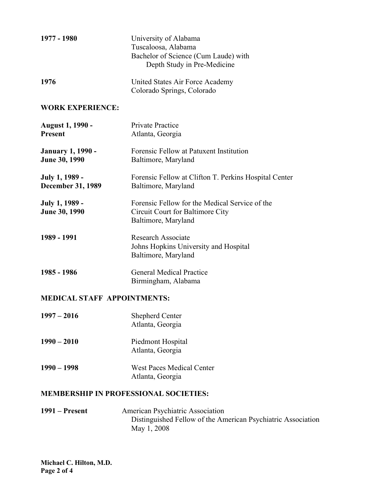| 1977 - 1980                                | University of Alabama<br>Tuscaloosa, Alabama<br>Bachelor of Science (Cum Laude) with<br>Depth Study in Pre-Medicine |  |
|--------------------------------------------|---------------------------------------------------------------------------------------------------------------------|--|
| 1976                                       | United States Air Force Academy<br>Colorado Springs, Colorado                                                       |  |
| <b>WORK EXPERIENCE:</b>                    |                                                                                                                     |  |
| <b>August 1, 1990 -</b><br><b>Present</b>  | <b>Private Practice</b><br>Atlanta, Georgia                                                                         |  |
| <b>January 1, 1990 -</b><br>June 30, 1990  | Forensic Fellow at Patuxent Institution<br>Baltimore, Maryland                                                      |  |
| July 1, 1989 -<br><b>December 31, 1989</b> | Forensic Fellow at Clifton T. Perkins Hospital Center<br>Baltimore, Maryland                                        |  |
| July 1, 1989 -<br>June 30, 1990            | Forensic Fellow for the Medical Service of the<br>Circuit Court for Baltimore City<br>Baltimore, Maryland           |  |
| 1989 - 1991                                | <b>Research Associate</b><br>Johns Hopkins University and Hospital<br>Baltimore, Maryland                           |  |
| 1985 - 1986                                | <b>General Medical Practice</b><br>Birmingham, Alabama                                                              |  |
| <b>MEDICAL STAFF APPOINTMENTS:</b>         |                                                                                                                     |  |
| $1997 - 2016$                              | <b>Shepherd Center</b><br>Atlanta, Georgia                                                                          |  |
| $1990 - 2010$                              | Piedmont Hospital<br>Atlanta, Georgia                                                                               |  |
| $1990 - 1998$                              | West Paces Medical Center<br>Atlanta, Georgia                                                                       |  |

## MEMBERSHIP IN PROFESSIONAL SOCIETIES:

1991 – Present American Psychiatric Association Distinguished Fellow of the American Psychiatric Association May 1, 2008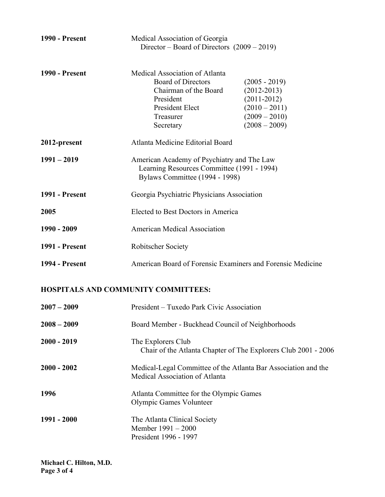| <b>1990 - Present</b> | Medical Association of Georgia<br>Director – Board of Directors $(2009 - 2019)$                                                                       |                                                                                                                |  |
|-----------------------|-------------------------------------------------------------------------------------------------------------------------------------------------------|----------------------------------------------------------------------------------------------------------------|--|
| <b>1990 - Present</b> | Medical Association of Atlanta<br><b>Board of Directors</b><br>Chairman of the Board<br>President<br><b>President Elect</b><br>Treasurer<br>Secretary | $(2005 - 2019)$<br>$(2012 - 2013)$<br>$(2011 - 2012)$<br>$(2010 - 2011)$<br>$(2009 - 2010)$<br>$(2008 - 2009)$ |  |
| 2012-present          | Atlanta Medicine Editorial Board                                                                                                                      |                                                                                                                |  |
| $1991 - 2019$         | American Academy of Psychiatry and The Law<br>Learning Resources Committee (1991 - 1994)<br>Bylaws Committee (1994 - 1998)                            |                                                                                                                |  |
| <b>1991 - Present</b> | Georgia Psychiatric Physicians Association                                                                                                            |                                                                                                                |  |
| 2005                  | Elected to Best Doctors in America                                                                                                                    |                                                                                                                |  |
| 1990 - 2009           | <b>American Medical Association</b>                                                                                                                   |                                                                                                                |  |
| <b>1991 - Present</b> | <b>Robitscher Society</b>                                                                                                                             |                                                                                                                |  |
| <b>1994 - Present</b> | American Board of Forensic Examiners and Forensic Medicine                                                                                            |                                                                                                                |  |

## HOSPITALS AND COMMUNITY COMMITTEES:

| $2007 - 2009$ | President – Tuxedo Park Civic Association                                                        |
|---------------|--------------------------------------------------------------------------------------------------|
| $2008 - 2009$ | Board Member - Buckhead Council of Neighborhoods                                                 |
| $2000 - 2019$ | The Explorers Club<br>Chair of the Atlanta Chapter of The Explorers Club 2001 - 2006             |
| $2000 - 2002$ | Medical-Legal Committee of the Atlanta Bar Association and the<br>Medical Association of Atlanta |
| 1996          | Atlanta Committee for the Olympic Games<br>Olympic Games Volunteer                               |
| 1991 - 2000   | The Atlanta Clinical Society<br>Member $1991 - 2000$<br>President 1996 - 1997                    |